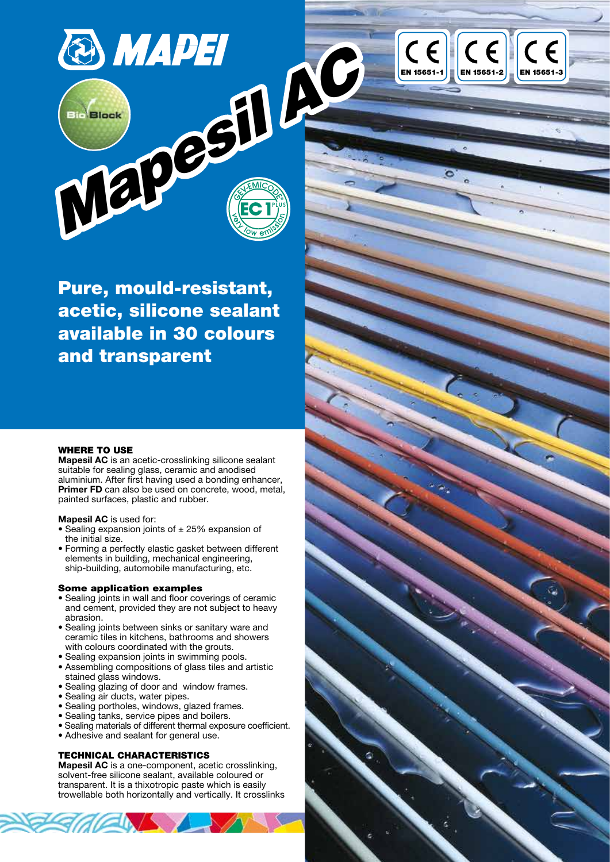

Pure, mould-resistant, acetic, silicone sealant available in 30 colours and transparent

## WHERE TO USE

Mapesil AC is an acetic-crosslinking silicone sealant suitable for sealing glass, ceramic and anodised aluminium. After first having used a bonding enhancer, Primer FD can also be used on concrete, wood, metal, painted surfaces, plastic and rubber.

### Mapesil AC is used for:

- Sealing expansion joints of  $\pm$  25% expansion of the initial size.
- Forming a perfectly elastic gasket between different elements in building, mechanical engineering, ship-building, automobile manufacturing, etc.

#### Some application examples

- Sealing joints in wall and floor coverings of ceramic and cement, provided they are not subject to heavy abrasion.
- Sealing joints between sinks or sanitary ware and ceramic tiles in kitchens, bathrooms and showers with colours coordinated with the grouts.
- Sealing expansion joints in swimming pools.
- Assembling compositions of glass tiles and artistic stained glass windows.
- Sealing glazing of door and window frames.
- Sealing air ducts, water pipes.
- Sealing portholes, windows, glazed frames.
- Sealing tanks, service pipes and boilers.
- Sealing materials of different thermal exposure coefficient.
- Adhesive and sealant for general use.

## TECHNICAL CHARACTERISTICS

Mapesil AC is a one-component, acetic crosslinking, solvent-free silicone sealant, available coloured or transparent. It is a thixotropic paste which is easily trowellable both horizontally and vertically. It crosslinks

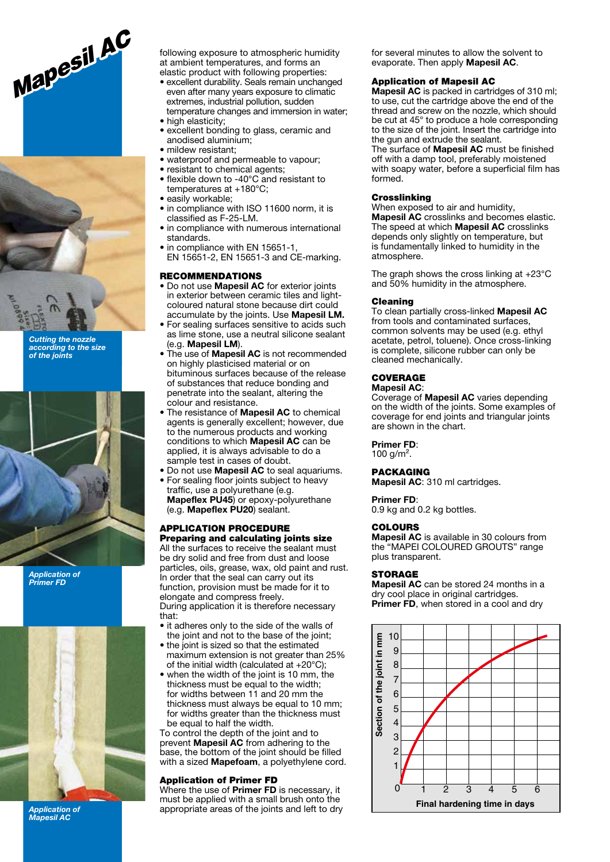



Cutting the nozzle according to the size of the joints



Application of Primer FD



Application of Mapesil AC

following exposure to atmospheric humidity at ambient temperatures, and forms an elastic product with following properties:

- excellent durability. Seals remain unchanged even after many years exposure to climatic extremes, industrial pollution, sudden temperature changes and immersion in water;
- high elasticity;
- excellent bonding to glass, ceramic and anodised aluminium;
- mildew resistant:
- waterproof and permeable to vapour;
- resistant to chemical agents;
- flexible down to -40°C and resistant to temperatures at +180°C;
- easily workable:
- in compliance with ISO 11600 norm, it is classified as F-25-LM.
- in compliance with numerous international standards.
- in compliance with EN 15651-1, EN 15651-2, EN 15651-3 and CE-marking.

### RECOMMENDATIONS

- Do not use Mapesil AC for exterior joints in exterior between ceramic tiles and lightcoloured natural stone because dirt could accumulate by the joints. Use Mapesil LM.
- For sealing surfaces sensitive to acids such as lime stone, use a neutral silicone sealant (e.g. Mapesil LM).
- $\bullet$  The use of **Mapesil AC** is not recommended on highly plasticised material or on bituminous surfaces because of the release of substances that reduce bonding and penetrate into the sealant, altering the colour and resistance.
- The resistance of Mapesil AC to chemical agents is generally excellent; however, due to the numerous products and working conditions to which Mapesil AC can be applied, it is always advisable to do a sample test in cases of doubt.
- Do not use Mapesil AC to seal aquariums.
- For sealing floor joints subject to heavy traffic, use a polyurethane (e.g. **Mapeflex PU45)** or epoxy-polyurethane (e.g. Mapeflex PU20) sealant.

#### APPLICATION PROCEDURE Preparing and calculating joints size

All the surfaces to receive the sealant must be dry solid and free from dust and loose particles, oils, grease, wax, old paint and rust. In order that the seal can carry out its function, provision must be made for it to elongate and compress freely. During application it is therefore necessary that:

- it adheres only to the side of the walls of the joint and not to the base of the joint;
- the joint is sized so that the estimated maximum extension is not greater than 25% of the initial width (calculated at +20°C);
- when the width of the joint is 10 mm, the thickness must be equal to the width; for widths between 11 and 20 mm the thickness must always be equal to 10 mm; for widths greater than the thickness must be equal to half the width.

To control the depth of the joint and to prevent Mapesil AC from adhering to the base, the bottom of the joint should be filled with a sized **Mapefoam**, a polyethylene cord.

### Application of Primer FD

Where the use of Primer FD is necessary, it must be applied with a small brush onto the appropriate areas of the joints and left to dry for several minutes to allow the solvent to evaporate. Then apply Mapesil AC.

## Application of Mapesil AC

Mapesil AC is packed in cartridges of 310 ml; to use, cut the cartridge above the end of the thread and screw on the nozzle, which should be cut at 45° to produce a hole corresponding to the size of the joint. Insert the cartridge into the gun and extrude the sealant.

The surface of **Mapesil AC** must be finished off with a damp tool, preferably moistened with soapy water, before a superficial film has formed.

### **Crosslinking**

When exposed to air and humidity. Mapesil AC crosslinks and becomes elastic. The speed at which Mapesil AC crosslinks depends only slightly on temperature, but is fundamentally linked to humidity in the atmosphere.

The graph shows the cross linking at +23°C and 50% humidity in the atmosphere.

#### Cleaning

To clean partially cross-linked Mapesil AC from tools and contaminated surfaces, common solvents may be used (e.g. ethyl acetate, petrol, toluene). Once cross-linking is complete, silicone rubber can only be cleaned mechanically.

# **COVERAGE**

#### Mapesil AC:

Coverage of Mapesil AC varies depending on the width of the joints. Some examples of coverage for end joints and triangular joints are shown in the chart.

## Primer FD:

100  $g/m^2$ .

## PACKAGING

Mapesil AC: 310 ml cartridges.

#### Primer FD: 0.9 kg and 0.2 kg bottles.

#### COLOURS

Mapesil AC is available in 30 colours from the "MAPEI COLOURED GROUTS" range plus transparent.

#### STORAGE

Mapesil AC can be stored 24 months in a dry cool place in original cartridges. Primer FD, when stored in a cool and dry

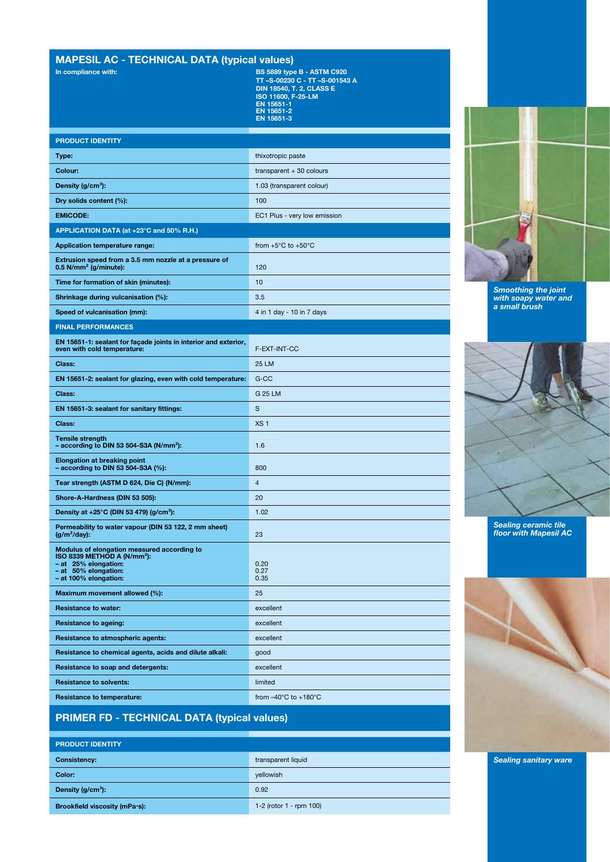# MAPESIL AC - TECHNICAL DATA (typical values)

In compliance with: BS 5889 type B - ASTM C920 TT –S-00230 C - TT –S-001543 A DIN 18540, T. 2, CLASS E ISO 11600, F-25-LM EN 15651-1 EN 15651-2 EN 15651-3

| <b>PRODUCT IDENTITY</b>                                                                                                                                         |                                          |
|-----------------------------------------------------------------------------------------------------------------------------------------------------------------|------------------------------------------|
| Type:                                                                                                                                                           | thixotropic paste                        |
| Colour:                                                                                                                                                         | transparent $+30$ colours                |
| Density (g/cm <sup>3</sup> ):                                                                                                                                   | 1.03 (transparent colour)                |
| Dry solids content (%):                                                                                                                                         | 100                                      |
| <b>EMICODE:</b>                                                                                                                                                 | EC1 Plus - very low emission             |
| APPLICATION DATA (at +23°C and 50% R.H.)                                                                                                                        |                                          |
| <b>Application temperature range:</b>                                                                                                                           | from $+5^{\circ}$ C to $+50^{\circ}$ C   |
| Extrusion speed from a 3.5 mm nozzle at a pressure of<br>$0.5$ N/mm <sup>2</sup> (g/minute):                                                                    | 120                                      |
| Time for formation of skin (minutes):                                                                                                                           | 10                                       |
| Shrinkage during vulcanisation (%):                                                                                                                             | 3.5                                      |
| Speed of vulcanisation (mm):                                                                                                                                    | 4 in 1 day - 10 in 7 days                |
| <b>FINAL PERFORMANCES</b>                                                                                                                                       |                                          |
| EN 15651-1: sealant for façade joints in interior and exterior,<br>even with cold temperature:                                                                  | F-EXT-INT-CC                             |
| Class:                                                                                                                                                          | 25 LM                                    |
| EN 15651-2: sealant for glazing, even with cold temperature:                                                                                                    | G-CC                                     |
| Class:                                                                                                                                                          | G 25 LM                                  |
| EN 15651-3: sealant for sanitary fittings:                                                                                                                      | S                                        |
| Class:                                                                                                                                                          | XS <sub>1</sub>                          |
| <b>Tensile strength</b><br>- according to DIN 53 504-S3A (N/mm <sup>2</sup> ):                                                                                  | 1.6                                      |
| <b>Elongation at breaking point</b><br>$-$ according to DIN 53 504-S3A (%):                                                                                     | 800                                      |
| Tear strength (ASTM D 624, Die C) (N/mm):                                                                                                                       | $\overline{4}$                           |
| Shore-A-Hardness (DIN 53 505):                                                                                                                                  | 20                                       |
| Density at $+25^{\circ}$ C (DIN 53 479) (g/cm <sup>3</sup> ):                                                                                                   | 1.02                                     |
| Permeability to water vapour (DIN 53 122, 2 mm sheet)<br>(g/m <sup>2</sup> /day):                                                                               | 23                                       |
| Modulus of elongation measured according to<br>ISO 8339 METHOD A (N/mm <sup>2</sup> ):<br>- at 25% elongation:<br>- at 50% elongation:<br>- at 100% elongation: | 0.20<br>0.27<br>0.35                     |
| Maximum movement allowed (%):                                                                                                                                   | 25                                       |
| <b>Resistance to water:</b>                                                                                                                                     | excellent                                |
| <b>Resistance to ageing:</b>                                                                                                                                    | excellent                                |
| <b>Resistance to atmospheric agents:</b>                                                                                                                        | excellent                                |
| Resistance to chemical agents, acids and dilute alkali:                                                                                                         | good                                     |
| Resistance to soap and detergents:                                                                                                                              | excellent                                |
| <b>Resistance to solvents:</b>                                                                                                                                  | limited                                  |
| <b>Resistance to temperature:</b>                                                                                                                               | from $-40^{\circ}$ C to $+180^{\circ}$ C |





Sealing ceramic tile floor with Mapesil AC



# PRIMER FD - TECHNICAL DATA (typical values)

# PRODUCT IDENTITY **Consistency:** transparent liquid **Color:** yellowish and yellowish and yellowish and yellowish **Density (g/cm<sup>3</sup>):** 0.92 Brookfield viscosity (mPa·s): 1-2 (rotor 1 - rpm 100)

Sealing sanitary ware